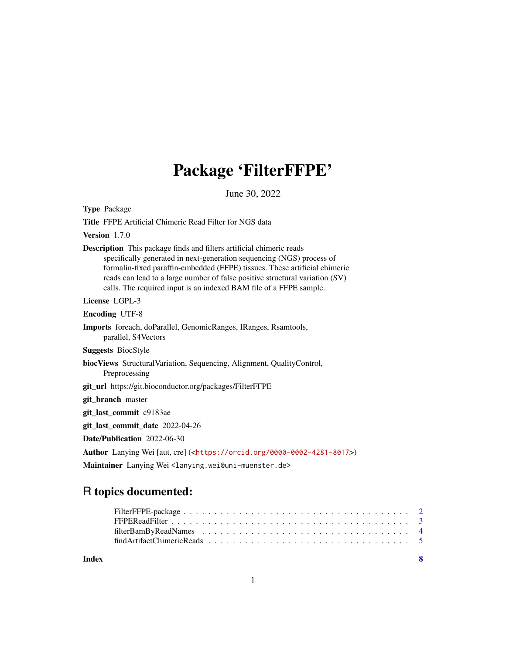## Package 'FilterFFPE'

June 30, 2022

Type Package Title FFPE Artificial Chimeric Read Filter for NGS data Version 1.7.0 Description This package finds and filters artificial chimeric reads specifically generated in next-generation sequencing (NGS) process of formalin-fixed paraffin-embedded (FFPE) tissues. These artificial chimeric reads can lead to a large number of false positive structural variation (SV) calls. The required input is an indexed BAM file of a FFPE sample. License LGPL-3 Encoding UTF-8 Imports foreach, doParallel, GenomicRanges, IRanges, Rsamtools, parallel, S4Vectors Suggests BiocStyle biocViews StructuralVariation, Sequencing, Alignment, QualityControl, Preprocessing git\_url https://git.bioconductor.org/packages/FilterFFPE git\_branch master git\_last\_commit c9183ae git\_last\_commit\_date 2022-04-26 Date/Publication 2022-06-30 Author Lanying Wei [aut, cre] (<<https://orcid.org/0000-0002-4281-8017>>) Maintainer Lanying Wei<lanying.wei@uni-muenster.de>

### R topics documented:

| Index | - 8 |
|-------|-----|
|       |     |
|       |     |
|       |     |
|       |     |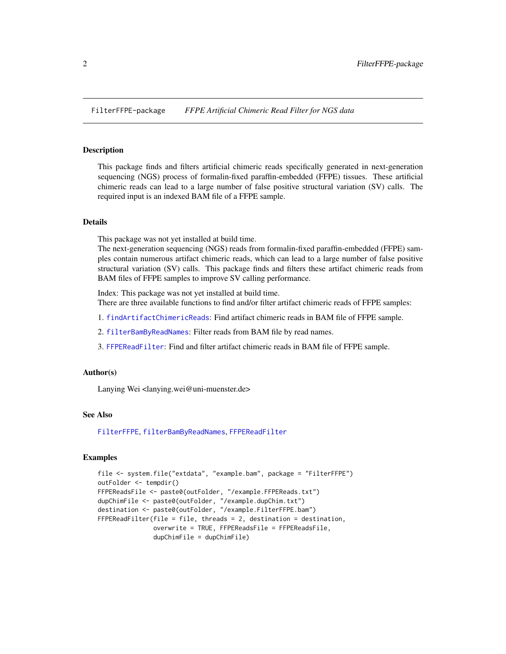<span id="page-1-0"></span>FilterFFPE-package *FFPE Artificial Chimeric Read Filter for NGS data*

#### <span id="page-1-1"></span>Description

This package finds and filters artificial chimeric reads specifically generated in next-generation sequencing (NGS) process of formalin-fixed paraffin-embedded (FFPE) tissues. These artificial chimeric reads can lead to a large number of false positive structural variation (SV) calls. The required input is an indexed BAM file of a FFPE sample.

#### Details

This package was not yet installed at build time.

The next-generation sequencing (NGS) reads from formalin-fixed paraffin-embedded (FFPE) samples contain numerous artifact chimeric reads, which can lead to a large number of false positive structural variation (SV) calls. This package finds and filters these artifact chimeric reads from BAM files of FFPE samples to improve SV calling performance.

Index: This package was not yet installed at build time. There are three available functions to find and/or filter artifact chimeric reads of FFPE samples:

1. [findArtifactChimericReads](#page-4-1): Find artifact chimeric reads in BAM file of FFPE sample.

2. [filterBamByReadNames](#page-3-1): Filter reads from BAM file by read names.

3. [FFPEReadFilter](#page-2-1): Find and filter artifact chimeric reads in BAM file of FFPE sample.

#### Author(s)

Lanying Wei <lanying.wei@uni-muenster.de>

#### See Also

[FilterFFPE](#page-1-1), [filterBamByReadNames](#page-3-1), [FFPEReadFilter](#page-2-1)

#### Examples

```
file <- system.file("extdata", "example.bam", package = "FilterFFPE")
outFolder <- tempdir()
FFPEReadsFile <- paste0(outFolder, "/example.FFPEReads.txt")
dupChimFile <- paste0(outFolder, "/example.dupChim.txt")
destination <- paste0(outFolder, "/example.FilterFFPE.bam")
FFPEReadFilter(file = file, threads = 2, destination = destination,
               overwrite = TRUE, FFPEReadsFile = FFPEReadsFile,
               dupChimFile = dupChimFile)
```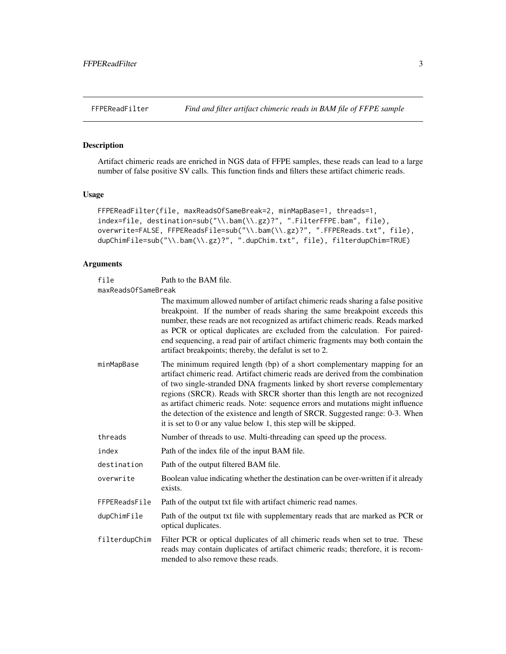#### <span id="page-2-1"></span><span id="page-2-0"></span>Description

Artifact chimeric reads are enriched in NGS data of FFPE samples, these reads can lead to a large number of false positive SV calls. This function finds and filters these artifact chimeric reads.

#### Usage

```
FFPEReadFilter(file, maxReadsOfSameBreak=2, minMapBase=1, threads=1,
index=file, destination=sub("\\.bam(\\.gz)?", ".FilterFFPE.bam", file),
overwrite=FALSE, FFPEReadsFile=sub("\\.bam(\\.gz)?", ".FFPEReads.txt", file),
dupChimFile=sub("\\.bam(\\.gz)?", ".dupChim.txt", file), filterdupChim=TRUE)
```
#### Arguments

| file                | Path to the BAM file. |
|---------------------|-----------------------|
| maxReadsOfSameBreak |                       |

|               | The maximum allowed number of artifact chimeric reads sharing a false positive<br>breakpoint. If the number of reads sharing the same breakpoint exceeds this<br>number, these reads are not recognized as artifact chimeric reads. Reads marked<br>as PCR or optical duplicates are excluded from the calculation. For paired-<br>end sequencing, a read pair of artifact chimeric fragments may both contain the<br>artifact breakpoints; thereby, the defalut is set to 2.                                                                                      |
|---------------|--------------------------------------------------------------------------------------------------------------------------------------------------------------------------------------------------------------------------------------------------------------------------------------------------------------------------------------------------------------------------------------------------------------------------------------------------------------------------------------------------------------------------------------------------------------------|
| minMapBase    | The minimum required length (bp) of a short complementary mapping for an<br>artifact chimeric read. Artifact chimeric reads are derived from the combination<br>of two single-stranded DNA fragments linked by short reverse complementary<br>regions (SRCR). Reads with SRCR shorter than this length are not recognized<br>as artifact chimeric reads. Note: sequence errors and mutations might influence<br>the detection of the existence and length of SRCR. Suggested range: 0-3. When<br>it is set to $0$ or any value below 1, this step will be skipped. |
| threads       | Number of threads to use. Multi-threading can speed up the process.                                                                                                                                                                                                                                                                                                                                                                                                                                                                                                |
| index         | Path of the index file of the input BAM file.                                                                                                                                                                                                                                                                                                                                                                                                                                                                                                                      |
| destination   | Path of the output filtered BAM file.                                                                                                                                                                                                                                                                                                                                                                                                                                                                                                                              |
| overwrite     | Boolean value indicating whether the destination can be over-written if it already<br>exists.                                                                                                                                                                                                                                                                                                                                                                                                                                                                      |
| FFPEReadsFile | Path of the output txt file with artifact chimeric read names.                                                                                                                                                                                                                                                                                                                                                                                                                                                                                                     |
| dupChimFile   | Path of the output txt file with supplementary reads that are marked as PCR or<br>optical duplicates.                                                                                                                                                                                                                                                                                                                                                                                                                                                              |
| filterdupChim | Filter PCR or optical duplicates of all chimeric reads when set to true. These<br>reads may contain duplicates of artifact chimeric reads; therefore, it is recom-<br>mended to also remove these reads.                                                                                                                                                                                                                                                                                                                                                           |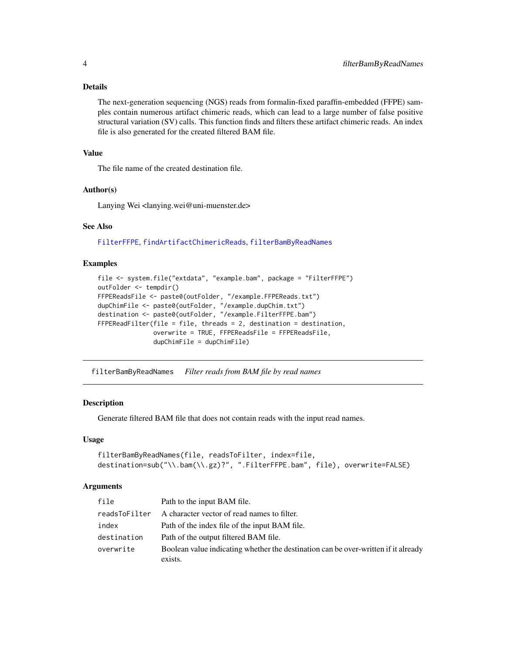#### <span id="page-3-0"></span>Details

The next-generation sequencing (NGS) reads from formalin-fixed paraffin-embedded (FFPE) samples contain numerous artifact chimeric reads, which can lead to a large number of false positive structural variation (SV) calls. This function finds and filters these artifact chimeric reads. An index file is also generated for the created filtered BAM file.

#### Value

The file name of the created destination file.

#### Author(s)

Lanying Wei <lanying.wei@uni-muenster.de>

#### See Also

[FilterFFPE](#page-1-1), [findArtifactChimericReads](#page-4-1), [filterBamByReadNames](#page-3-1)

#### Examples

```
file <- system.file("extdata", "example.bam", package = "FilterFFPE")
outFolder <- tempdir()
FFPEReadsFile <- paste0(outFolder, "/example.FFPEReads.txt")
dupChimFile <- paste0(outFolder, "/example.dupChim.txt")
destination <- paste0(outFolder, "/example.FilterFFPE.bam")
FFPEReadFilter(file = file, threads = 2, destination = destination,
               overwrite = TRUE, FFPEReadsFile = FFPEReadsFile,
               dupChimFile = dupChimFile)
```
<span id="page-3-1"></span>filterBamByReadNames *Filter reads from BAM file by read names*

#### Description

Generate filtered BAM file that does not contain reads with the input read names.

#### Usage

```
filterBamByReadNames(file, readsToFilter, index=file,
destination=sub("\\.bam(\\.gz)?", ".FilterFFPE.bam", file), overwrite=FALSE)
```
#### Arguments

| file          | Path to the input BAM file.                                                                   |
|---------------|-----------------------------------------------------------------------------------------------|
| readsToFilter | A character vector of read names to filter.                                                   |
| index         | Path of the index file of the input BAM file.                                                 |
| destination   | Path of the output filtered BAM file.                                                         |
| overwrite     | Boolean value indicating whether the destination can be over-written if it already<br>exists. |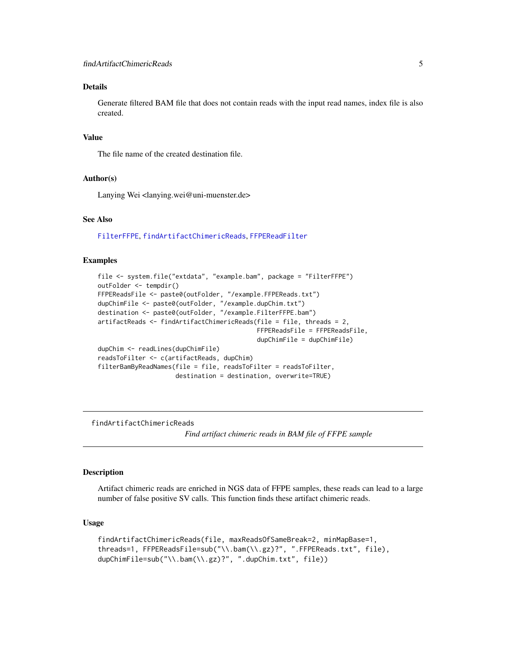#### <span id="page-4-0"></span>Details

Generate filtered BAM file that does not contain reads with the input read names, index file is also created.

#### Value

The file name of the created destination file.

#### Author(s)

Lanying Wei <lanying.wei@uni-muenster.de>

#### See Also

[FilterFFPE](#page-1-1), [findArtifactChimericReads](#page-4-1), [FFPEReadFilter](#page-2-1)

#### Examples

```
file <- system.file("extdata", "example.bam", package = "FilterFFPE")
outFolder <- tempdir()
FFPEReadsFile <- paste0(outFolder, "/example.FFPEReads.txt")
dupChimFile <- paste0(outFolder, "/example.dupChim.txt")
destination <- paste0(outFolder, "/example.FilterFFPE.bam")
artifactReads <- findArtifactChimericReads(file = file, threads = 2,
                                           FFPEReadsFile = FFPEReadsFile,
                                           dupChimFile = dupChimFile)
dupChim <- readLines(dupChimFile)
readsToFilter <- c(artifactReads, dupChim)
filterBamByReadNames(file = file, readsToFilter = readsToFilter,
                     destination = destination, overwrite=TRUE)
```
<span id="page-4-1"></span>findArtifactChimericReads

*Find artifact chimeric reads in BAM file of FFPE sample*

#### Description

Artifact chimeric reads are enriched in NGS data of FFPE samples, these reads can lead to a large number of false positive SV calls. This function finds these artifact chimeric reads.

#### Usage

```
findArtifactChimericReads(file, maxReadsOfSameBreak=2, minMapBase=1,
threads=1, FFPEReadsFile=sub("\\.bam(\\.gz)?", ".FFPEReads.txt", file),
dupChimFile=sub("\\.bam(\\.gz)?", ".dupChim.txt", file))
```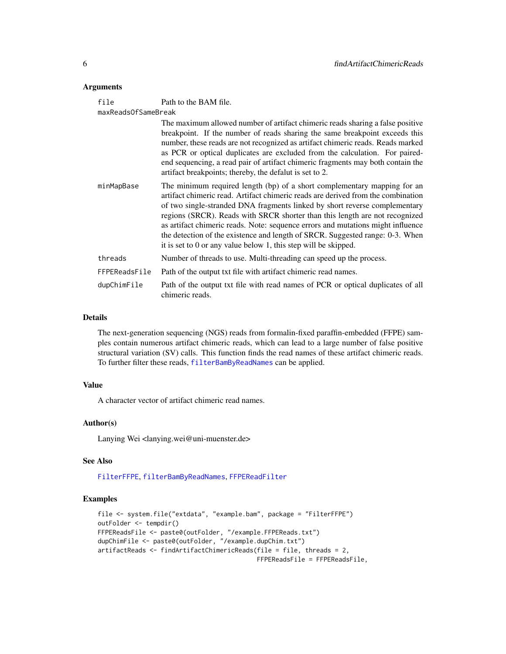#### <span id="page-5-0"></span>Arguments

| file                | Path to the BAM file.                                                                                                                                                                                                                                                                                                                                                                                                                                                                                                                                              |  |  |  |
|---------------------|--------------------------------------------------------------------------------------------------------------------------------------------------------------------------------------------------------------------------------------------------------------------------------------------------------------------------------------------------------------------------------------------------------------------------------------------------------------------------------------------------------------------------------------------------------------------|--|--|--|
| maxReadsOfSameBreak |                                                                                                                                                                                                                                                                                                                                                                                                                                                                                                                                                                    |  |  |  |
|                     | The maximum allowed number of artifact chimeric reads sharing a false positive<br>breakpoint. If the number of reads sharing the same breakpoint exceeds this<br>number, these reads are not recognized as artifact chimeric reads. Reads marked<br>as PCR or optical duplicates are excluded from the calculation. For paired-<br>end sequencing, a read pair of artifact chimeric fragments may both contain the<br>artifact breakpoints; thereby, the defalut is set to 2.                                                                                      |  |  |  |
| minMapBase          | The minimum required length (bp) of a short complementary mapping for an<br>artifact chimeric read. Artifact chimeric reads are derived from the combination<br>of two single-stranded DNA fragments linked by short reverse complementary<br>regions (SRCR). Reads with SRCR shorter than this length are not recognized<br>as artifact chimeric reads. Note: sequence errors and mutations might influence<br>the detection of the existence and length of SRCR. Suggested range: 0-3. When<br>it is set to $0$ or any value below 1, this step will be skipped. |  |  |  |
| threads             | Number of threads to use. Multi-threading can speed up the process.                                                                                                                                                                                                                                                                                                                                                                                                                                                                                                |  |  |  |
| FFPEReadsFile       | Path of the output txt file with artifact chimeric read names.                                                                                                                                                                                                                                                                                                                                                                                                                                                                                                     |  |  |  |
| dupChimFile         | Path of the output txt file with read names of PCR or optical duplicates of all<br>chimeric reads.                                                                                                                                                                                                                                                                                                                                                                                                                                                                 |  |  |  |

#### Details

The next-generation sequencing (NGS) reads from formalin-fixed paraffin-embedded (FFPE) samples contain numerous artifact chimeric reads, which can lead to a large number of false positive structural variation (SV) calls. This function finds the read names of these artifact chimeric reads. To further filter these reads, [filterBamByReadNames](#page-3-1) can be applied.

#### Value

A character vector of artifact chimeric read names.

#### Author(s)

Lanying Wei <lanying.wei@uni-muenster.de>

#### See Also

[FilterFFPE](#page-1-1), [filterBamByReadNames](#page-3-1), [FFPEReadFilter](#page-2-1)

#### Examples

```
file <- system.file("extdata", "example.bam", package = "FilterFFPE")
outFolder <- tempdir()
FFPEReadsFile <- paste0(outFolder, "/example.FFPEReads.txt")
dupChimFile <- paste0(outFolder, "/example.dupChim.txt")
artifactReads <- findArtifactChimericReads(file = file, threads = 2,
                                           FFPEReadsFile = FFPEReadsFile,
```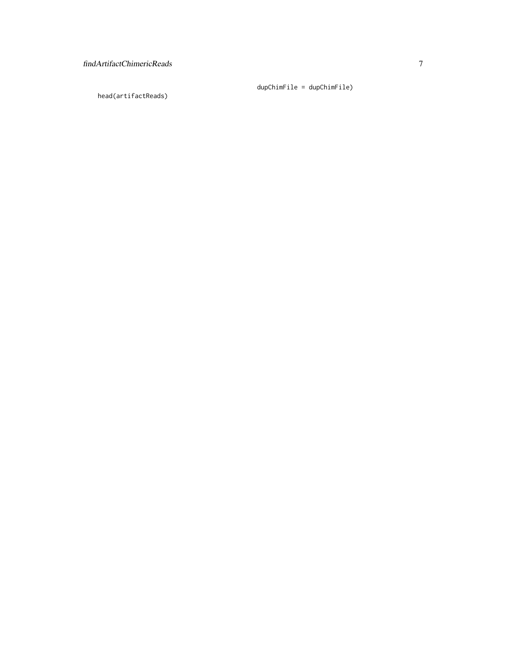head(artifactReads)

dupChimFile = dupChimFile)